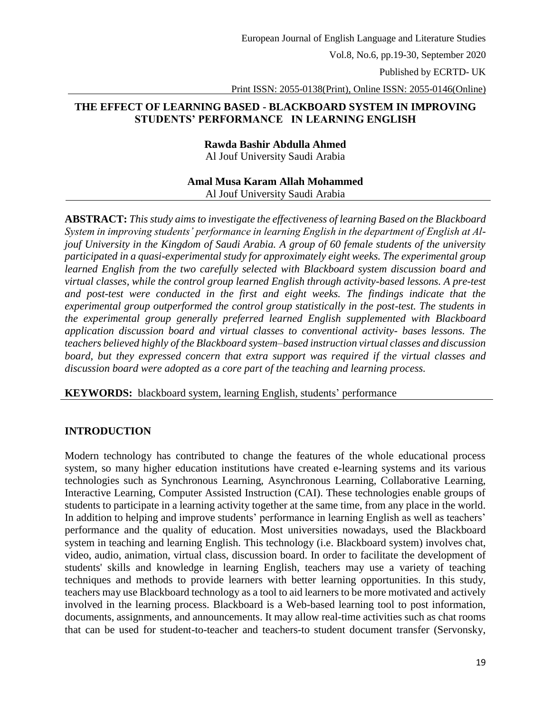Published by ECRTD- UK

Print ISSN: 2055-0138(Print), Online ISSN: 2055-0146(Online)

### **THE EFFECT OF LEARNING BASED - BLACKBOARD SYSTEM IN IMPROVING STUDENTS' PERFORMANCE IN LEARNING ENGLISH**

**Rawda Bashir Abdulla Ahmed** Al Jouf University Saudi Arabia

### **Amal Musa Karam Allah Mohammed** Al Jouf University Saudi Arabia

**ABSTRACT:** *This study aims to investigate the effectiveness of learning Based on the Blackboard System in improving students' performance in learning English in the department of English at Aljouf University in the Kingdom of Saudi Arabia. A group of 60 female students of the university participated in a quasi-experimental study for approximately eight weeks. The experimental group learned English from the two carefully selected with Blackboard system discussion board and virtual classes, while the control group learned English through activity-based lessons. A pre-test and post-test were conducted in the first and eight weeks. The findings indicate that the experimental group outperformed the control group statistically in the post-test. The students in the experimental group generally preferred learned English supplemented with Blackboard application discussion board and virtual classes to conventional activity- bases lessons. The teachers believed highly of the Blackboard system–based instruction virtual classes and discussion board, but they expressed concern that extra support was required if the virtual classes and discussion board were adopted as a core part of the teaching and learning process.*

**KEYWORDS:** blackboard system, learning English*,* students' performance

# **INTRODUCTION**

Modern technology has contributed to change the features of the whole educational process system, so many higher education institutions have created e-learning systems and its various technologies such as Synchronous Learning, Asynchronous Learning, Collaborative Learning, Interactive Learning, Computer Assisted Instruction (CAI). These technologies enable groups of students to participate in a learning activity together at the same time, from any place in the world. In addition to helping and improve students' performance in learning English as well as teachers' performance and the quality of education. Most universities nowadays, used the Blackboard system in teaching and learning English. This technology (i.e. Blackboard system) involves chat, video, audio, animation, virtual class, discussion board. In order to facilitate the development of students' skills and knowledge in learning English, teachers may use a variety of teaching techniques and methods to provide learners with better learning opportunities. In this study, teachers may use Blackboard technology as a tool to aid learners to be more motivated and actively involved in the learning process. Blackboard is a Web-based learning tool to post information, documents, assignments, and announcements. It may allow real-time activities such as chat rooms that can be used for student-to-teacher and teachers-to student document transfer (Servonsky,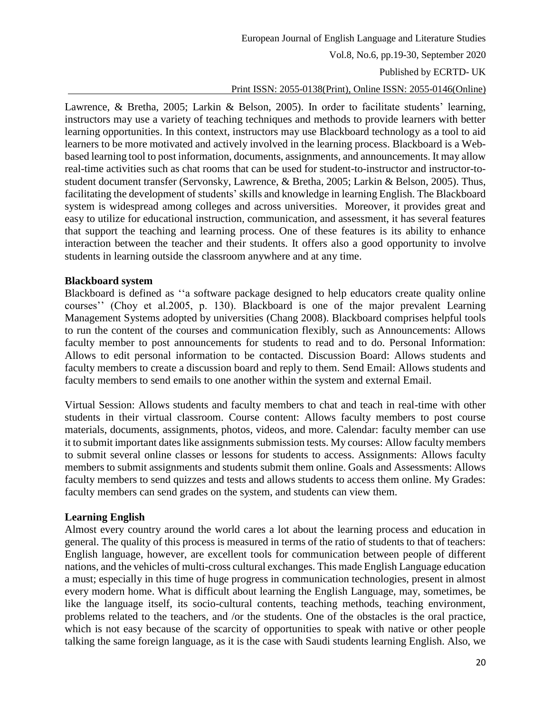European Journal of English Language and Literature Studies

Vol.8, No.6, pp.19-30, September 2020

Published by ECRTD- UK

#### Print ISSN: 2055-0138(Print), Online ISSN: 2055-0146(Online)

Lawrence, & Bretha, 2005; Larkin & Belson, 2005). In order to facilitate students' learning, instructors may use a variety of teaching techniques and methods to provide learners with better learning opportunities. In this context, instructors may use Blackboard technology as a tool to aid learners to be more motivated and actively involved in the learning process. Blackboard is a Webbased learning tool to post information, documents, assignments, and announcements. It may allow real-time activities such as chat rooms that can be used for student-to-instructor and instructor-tostudent document transfer (Servonsky, Lawrence, & Bretha, 2005; Larkin & Belson, 2005). Thus, facilitating the development of students' skills and knowledge in learning English. The Blackboard system is widespread among colleges and across universities. Moreover, it provides great and easy to utilize for educational instruction, communication, and assessment, it has several features that support the teaching and learning process. One of these features is its ability to enhance interaction between the teacher and their students. It offers also a good opportunity to involve students in learning outside the classroom anywhere and at any time.

#### **Blackboard system**

Blackboard is defined as ''a software package designed to help educators create quality online courses'' (Choy et al.2005, p. 130). Blackboard is one of the major prevalent Learning Management Systems adopted by universities (Chang 2008). Blackboard comprises helpful tools to run the content of the courses and communication flexibly, such as Announcements: Allows faculty member to post announcements for students to read and to do. Personal Information: Allows to edit personal information to be contacted. Discussion Board: Allows students and faculty members to create a discussion board and reply to them. Send Email: Allows students and faculty members to send emails to one another within the system and external Email.

Virtual Session: Allows students and faculty members to chat and teach in real-time with other students in their virtual classroom. Course content: Allows faculty members to post course materials, documents, assignments, photos, videos, and more. Calendar: faculty member can use it to submit important dates like assignments submission tests. My courses: Allow faculty members to submit several online classes or lessons for students to access. Assignments: Allows faculty members to submit assignments and students submit them online. Goals and Assessments: Allows faculty members to send quizzes and tests and allows students to access them online. My Grades: faculty members can send grades on the system, and students can view them.

#### **Learning English**

Almost every country around the world cares a lot about the learning process and education in general. The quality of this process is measured in terms of the ratio of students to that of teachers: English language, however, are excellent tools for communication between people of different nations, and the vehicles of multi-cross cultural exchanges. This made English Language education a must; especially in this time of huge progress in communication technologies, present in almost every modern home. What is difficult about learning the English Language, may, sometimes, be like the language itself, its socio-cultural contents, teaching methods, teaching environment, problems related to the teachers, and /or the students. One of the obstacles is the oral practice, which is not easy because of the scarcity of opportunities to speak with native or other people talking the same foreign language, as it is the case with Saudi students learning English. Also, we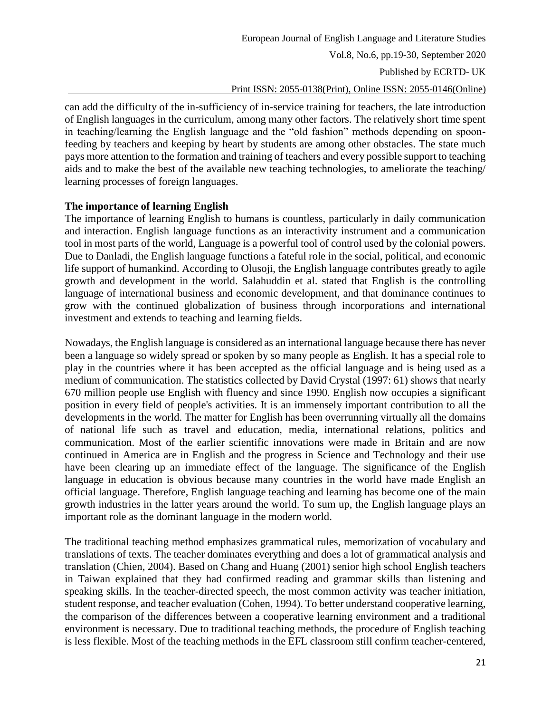Published by ECRTD- UK

# Print ISSN: 2055-0138(Print), Online ISSN: 2055-0146(Online)

can add the difficulty of the in-sufficiency of in-service training for teachers, the late introduction of English languages in the curriculum, among many other factors. The relatively short time spent in teaching/learning the English language and the "old fashion" methods depending on spoonfeeding by teachers and keeping by heart by students are among other obstacles. The state much pays more attention to the formation and training of teachers and every possible support to teaching aids and to make the best of the available new teaching technologies, to ameliorate the teaching/ learning processes of foreign languages.

### **The importance of learning English**

The importance of learning English to humans is countless, particularly in daily communication and interaction. English language functions as an interactivity instrument and a communication tool in most parts of the world, Language is a powerful tool of control used by the colonial powers. Due to Danladi, the English language functions a fateful role in the social, political, and economic life support of humankind. According to Olusoji, the English language contributes greatly to agile growth and development in the world. Salahuddin et al. stated that English is the controlling language of international business and economic development, and that dominance continues to grow with the continued globalization of business through incorporations and international investment and extends to teaching and learning fields.

Nowadays, the English language is considered as an international language because there has never been a language so widely spread or spoken by so many people as English. It has a special role to play in the countries where it has been accepted as the official language and is being used as a medium of communication. The statistics collected by David Crystal (1997: 61) shows that nearly 670 million people use English with fluency and since 1990. English now occupies a significant position in every field of people's activities. It is an immensely important contribution to all the developments in the world. The matter for English has been overrunning virtually all the domains of national life such as travel and education, media, international relations, politics and communication. Most of the earlier scientific innovations were made in Britain and are now continued in America are in English and the progress in Science and Technology and their use have been clearing up an immediate effect of the language. The significance of the English language in education is obvious because many countries in the world have made English an official language. Therefore, English language teaching and learning has become one of the main growth industries in the latter years around the world. To sum up, the English language plays an important role as the dominant language in the modern world.

The traditional teaching method emphasizes grammatical rules, memorization of vocabulary and translations of texts. The teacher dominates everything and does a lot of grammatical analysis and translation (Chien, 2004). Based on Chang and Huang (2001) senior high school English teachers in Taiwan explained that they had confirmed reading and grammar skills than listening and speaking skills. In the teacher-directed speech, the most common activity was teacher initiation, student response, and teacher evaluation (Cohen, 1994). To better understand cooperative learning, the comparison of the differences between a cooperative learning environment and a traditional environment is necessary. Due to traditional teaching methods, the procedure of English teaching is less flexible. Most of the teaching methods in the EFL classroom still confirm teacher-centered,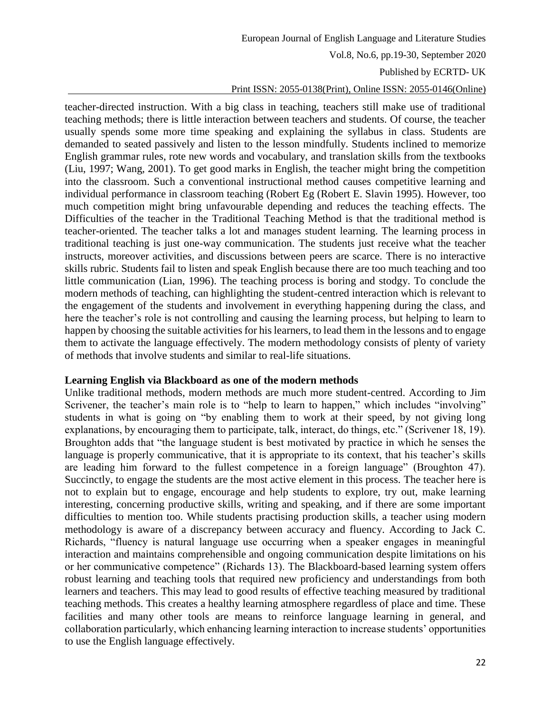#### Published by ECRTD- UK

#### Print ISSN: 2055-0138(Print), Online ISSN: 2055-0146(Online)

teacher-directed instruction. With a big class in teaching, teachers still make use of traditional teaching methods; there is little interaction between teachers and students. Of course, the teacher usually spends some more time speaking and explaining the syllabus in class. Students are demanded to seated passively and listen to the lesson mindfully. Students inclined to memorize English grammar rules, rote new words and vocabulary, and translation skills from the textbooks (Liu, 1997; Wang, 2001). To get good marks in English, the teacher might bring the competition into the classroom. Such a conventional instructional method causes competitive learning and individual performance in classroom teaching (Robert Eg (Robert E. Slavin 1995). However, too much competition might bring unfavourable depending and reduces the teaching effects. The Difficulties of the teacher in the Traditional Teaching Method is that the traditional method is teacher-oriented. The teacher talks a lot and manages student learning. The learning process in traditional teaching is just one-way communication. The students just receive what the teacher instructs, moreover activities, and discussions between peers are scarce. There is no interactive skills rubric. Students fail to listen and speak English because there are too much teaching and too little communication (Lian, 1996). The teaching process is boring and stodgy. To conclude the modern methods of teaching, can highlighting the student-centred interaction which is relevant to the engagement of the students and involvement in everything happening during the class, and here the teacher's role is not controlling and causing the learning process, but helping to learn to happen by choosing the suitable activities for his learners, to lead them in the lessons and to engage them to activate the language effectively. The modern methodology consists of plenty of variety of methods that involve students and similar to real-life situations.

#### **Learning English via Blackboard as one of the modern methods**

Unlike traditional methods, modern methods are much more student-centred. According to Jim Scrivener, the teacher's main role is to "help to learn to happen," which includes "involving" students in what is going on "by enabling them to work at their speed, by not giving long explanations, by encouraging them to participate, talk, interact, do things, etc." (Scrivener 18, 19). Broughton adds that "the language student is best motivated by practice in which he senses the language is properly communicative, that it is appropriate to its context, that his teacher's skills are leading him forward to the fullest competence in a foreign language" (Broughton 47). Succinctly, to engage the students are the most active element in this process. The teacher here is not to explain but to engage, encourage and help students to explore, try out, make learning interesting, concerning productive skills, writing and speaking, and if there are some important difficulties to mention too. While students practising production skills, a teacher using modern methodology is aware of a discrepancy between accuracy and fluency. According to Jack C. Richards, "fluency is natural language use occurring when a speaker engages in meaningful interaction and maintains comprehensible and ongoing communication despite limitations on his or her communicative competence" (Richards 13). The Blackboard-based learning system offers robust learning and teaching tools that required new proficiency and understandings from both learners and teachers. This may lead to good results of effective teaching measured by traditional teaching methods. This creates a healthy learning atmosphere regardless of place and time. These facilities and many other tools are means to reinforce language learning in general, and collaboration particularly, which enhancing learning interaction to increase students' opportunities to use the English language effectively.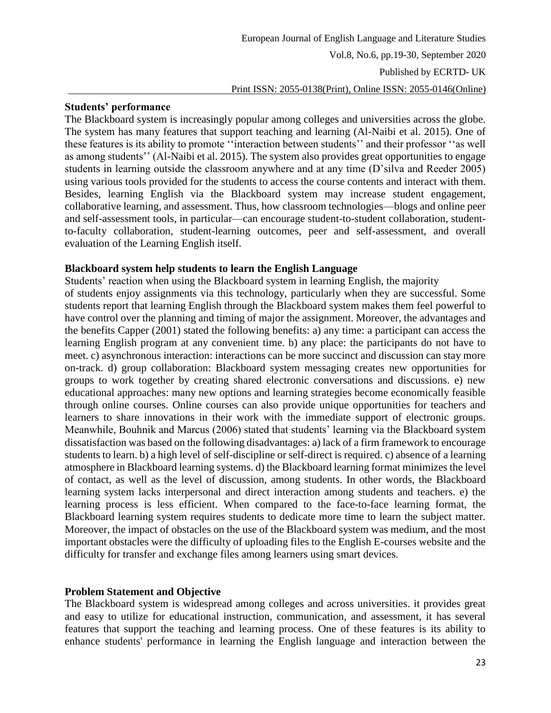#### **Students' performance**

The Blackboard system is increasingly popular among colleges and universities across the globe. The system has many features that support teaching and learning (Al-Naibi et al. 2015). One of these features is its ability to promote ''interaction between students'' and their professor ''as well as among students'' (Al-Naibi et al. 2015). The system also provides great opportunities to engage students in learning outside the classroom anywhere and at any time (D'silva and Reeder 2005) using various tools provided for the students to access the course contents and interact with them. Besides, learning English via the Blackboard system may increase student engagement, collaborative learning, and assessment. Thus, how classroom technologies—blogs and online peer and self-assessment tools, in particular—can encourage student-to-student collaboration, studentto-faculty collaboration, student-learning outcomes, peer and self-assessment, and overall evaluation of the Learning English itself.

### **Blackboard system help students to learn the English Language**

Students' reaction when using the Blackboard system in learning English, the majority of students enjoy assignments via this technology, particularly when they are successful. Some students report that learning English through the Blackboard system makes them feel powerful to have control over the planning and timing of major the assignment. Moreover, the advantages and the benefits Capper (2001) stated the following benefits: a) any time: a participant can access the learning English program at any convenient time. b) any place: the participants do not have to meet. c) asynchronous interaction: interactions can be more succinct and discussion can stay more on-track. d) group collaboration: Blackboard system messaging creates new opportunities for groups to work together by creating shared electronic conversations and discussions. e) new educational approaches: many new options and learning strategies become economically feasible through online courses. Online courses can also provide unique opportunities for teachers and learners to share innovations in their work with the immediate support of electronic groups. Meanwhile, Bouhnik and Marcus (2006) stated that students' learning via the Blackboard system dissatisfaction was based on the following disadvantages: a) lack of a firm framework to encourage students to learn. b) a high level of self-discipline or self-direct is required. c) absence of a learning atmosphere in Blackboard learning systems. d) the Blackboard learning format minimizes the level of contact, as well as the level of discussion, among students. In other words, the Blackboard learning system lacks interpersonal and direct interaction among students and teachers. e) the learning process is less efficient. When compared to the face-to-face learning format, the Blackboard learning system requires students to dedicate more time to learn the subject matter. Moreover, the impact of obstacles on the use of the Blackboard system was medium, and the most important obstacles were the difficulty of uploading files to the English E-courses website and the difficulty for transfer and exchange files among learners using smart devices.

### **Problem Statement and Objective**

The Blackboard system is widespread among colleges and across universities. it provides great and easy to utilize for educational instruction, communication, and assessment, it has several features that support the teaching and learning process. One of these features is its ability to enhance students' performance in learning the English language and interaction between the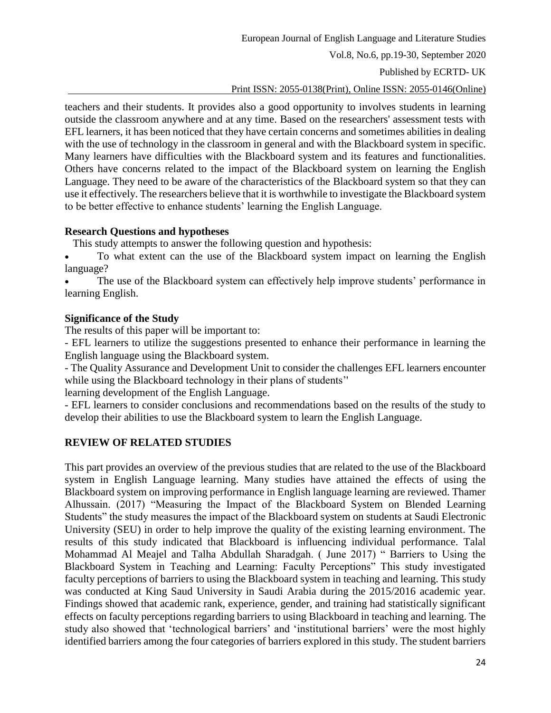European Journal of English Language and Literature Studies

Vol.8, No.6, pp.19-30, September 2020

Published by ECRTD- UK

Print ISSN: 2055-0138(Print), Online ISSN: 2055-0146(Online)

teachers and their students. It provides also a good opportunity to involves students in learning outside the classroom anywhere and at any time. Based on the researchers' assessment tests with EFL learners, it has been noticed that they have certain concerns and sometimes abilities in dealing with the use of technology in the classroom in general and with the Blackboard system in specific. Many learners have difficulties with the Blackboard system and its features and functionalities. Others have concerns related to the impact of the Blackboard system on learning the English Language. They need to be aware of the characteristics of the Blackboard system so that they can use it effectively. The researchers believe that it is worthwhile to investigate the Blackboard system to be better effective to enhance students' learning the English Language.

### **Research Questions and hypotheses**

This study attempts to answer the following question and hypothesis:

- To what extent can the use of the Blackboard system impact on learning the English language?
- The use of the Blackboard system can effectively help improve students' performance in learning English.

# **Significance of the Study**

The results of this paper will be important to:

- EFL learners to utilize the suggestions presented to enhance their performance in learning the English language using the Blackboard system.

- The Quality Assurance and Development Unit to consider the challenges EFL learners encounter while using the Blackboard technology in their plans of students''

learning development of the English Language.

- EFL learners to consider conclusions and recommendations based on the results of the study to develop their abilities to use the Blackboard system to learn the English Language.

# **REVIEW OF RELATED STUDIES**

This part provides an overview of the previous studies that are related to the use of the Blackboard system in English Language learning. Many studies have attained the effects of using the Blackboard system on improving performance in English language learning are reviewed. Thamer Alhussain. (2017) "Measuring the Impact of the Blackboard System on Blended Learning Students" the study measures the impact of the Blackboard system on students at Saudi Electronic University (SEU) in order to help improve the quality of the existing learning environment. The results of this study indicated that Blackboard is influencing individual performance. Talal Mohammad Al Meajel and Talha Abdullah Sharadgah. ( June 2017) " Barriers to Using the Blackboard System in Teaching and Learning: Faculty Perceptions" This study investigated faculty perceptions of barriers to using the Blackboard system in teaching and learning. This study was conducted at King Saud University in Saudi Arabia during the 2015/2016 academic year. Findings showed that academic rank, experience, gender, and training had statistically significant effects on faculty perceptions regarding barriers to using Blackboard in teaching and learning. The study also showed that 'technological barriers' and 'institutional barriers' were the most highly identified barriers among the four categories of barriers explored in this study. The student barriers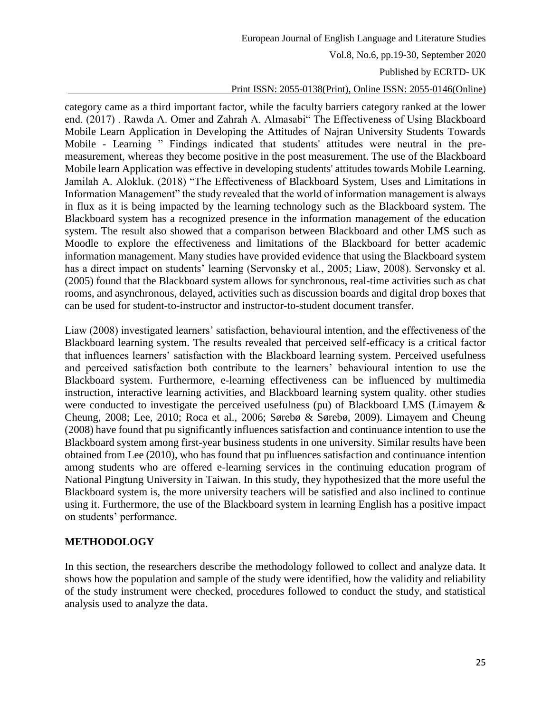#### Published by ECRTD- UK

#### Print ISSN: 2055-0138(Print), Online ISSN: 2055-0146(Online)

category came as a third important factor, while the faculty barriers category ranked at the lower end. (2017) . Rawda A. Omer and Zahrah A. Almasabi" The Effectiveness of Using Blackboard Mobile Learn Application in Developing the Attitudes of Najran University Students Towards Mobile - Learning " Findings indicated that students' attitudes were neutral in the premeasurement, whereas they become positive in the post measurement. The use of the Blackboard Mobile learn Application was effective in developing students' attitudes towards Mobile Learning. Jamilah A. Alokluk. (2018) "The Effectiveness of Blackboard System, Uses and Limitations in Information Management" the study revealed that the world of information management is always in flux as it is being impacted by the learning technology such as the Blackboard system. The Blackboard system has a recognized presence in the information management of the education system. The result also showed that a comparison between Blackboard and other LMS such as Moodle to explore the effectiveness and limitations of the Blackboard for better academic information management. Many studies have provided evidence that using the Blackboard system has a direct impact on students' learning (Servonsky et al., 2005; Liaw, 2008). Servonsky et al. (2005) found that the Blackboard system allows for synchronous, real-time activities such as chat rooms, and asynchronous, delayed, activities such as discussion boards and digital drop boxes that can be used for student-to-instructor and instructor-to-student document transfer.

Liaw (2008) investigated learners' satisfaction, behavioural intention, and the effectiveness of the Blackboard learning system. The results revealed that perceived self-efficacy is a critical factor that influences learners' satisfaction with the Blackboard learning system. Perceived usefulness and perceived satisfaction both contribute to the learners' behavioural intention to use the Blackboard system. Furthermore, e-learning effectiveness can be influenced by multimedia instruction, interactive learning activities, and Blackboard learning system quality. other studies were conducted to investigate the perceived usefulness (pu) of Blackboard LMS (Limayem & Cheung, 2008; Lee, 2010; Roca et al., 2006; Sørebø & Sørebø, 2009). Limayem and Cheung (2008) have found that pu significantly influences satisfaction and continuance intention to use the Blackboard system among first-year business students in one university. Similar results have been obtained from Lee (2010), who has found that pu influences satisfaction and continuance intention among students who are offered e-learning services in the continuing education program of National Pingtung University in Taiwan. In this study, they hypothesized that the more useful the Blackboard system is, the more university teachers will be satisfied and also inclined to continue using it. Furthermore, the use of the Blackboard system in learning English has a positive impact on students' performance.

### **METHODOLOGY**

In this section, the researchers describe the methodology followed to collect and analyze data. It shows how the population and sample of the study were identified, how the validity and reliability of the study instrument were checked, procedures followed to conduct the study, and statistical analysis used to analyze the data.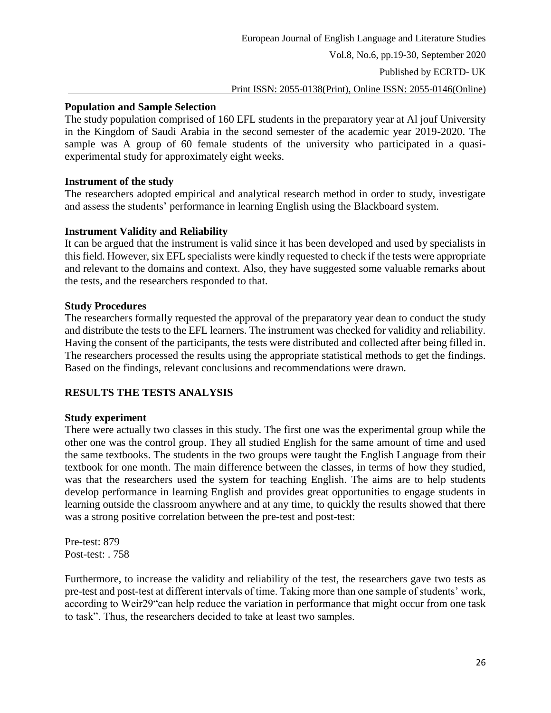# **Population and Sample Selection**

The study population comprised of 160 EFL students in the preparatory year at Al jouf University in the Kingdom of Saudi Arabia in the second semester of the academic year 2019-2020. The sample was A group of 60 female students of the university who participated in a quasiexperimental study for approximately eight weeks.

# **Instrument of the study**

The researchers adopted empirical and analytical research method in order to study, investigate and assess the students' performance in learning English using the Blackboard system.

# **Instrument Validity and Reliability**

It can be argued that the instrument is valid since it has been developed and used by specialists in this field. However, six EFL specialists were kindly requested to check if the tests were appropriate and relevant to the domains and context. Also, they have suggested some valuable remarks about the tests, and the researchers responded to that.

# **Study Procedures**

The researchers formally requested the approval of the preparatory year dean to conduct the study and distribute the tests to the EFL learners. The instrument was checked for validity and reliability. Having the consent of the participants, the tests were distributed and collected after being filled in. The researchers processed the results using the appropriate statistical methods to get the findings. Based on the findings, relevant conclusions and recommendations were drawn.

# **RESULTS THE TESTS ANALYSIS**

### **Study experiment**

There were actually two classes in this study. The first one was the experimental group while the other one was the control group. They all studied English for the same amount of time and used the same textbooks. The students in the two groups were taught the English Language from their textbook for one month. The main difference between the classes, in terms of how they studied, was that the researchers used the system for teaching English. The aims are to help students develop performance in learning English and provides great opportunities to engage students in learning outside the classroom anywhere and at any time, to quickly the results showed that there was a strong positive correlation between the pre-test and post-test:

Pre-test: 879 Post-test: . 758

Furthermore, to increase the validity and reliability of the test, the researchers gave two tests as pre-test and post-test at different intervals of time. Taking more than one sample of students' work, according to Weir29"can help reduce the variation in performance that might occur from one task to task". Thus, the researchers decided to take at least two samples.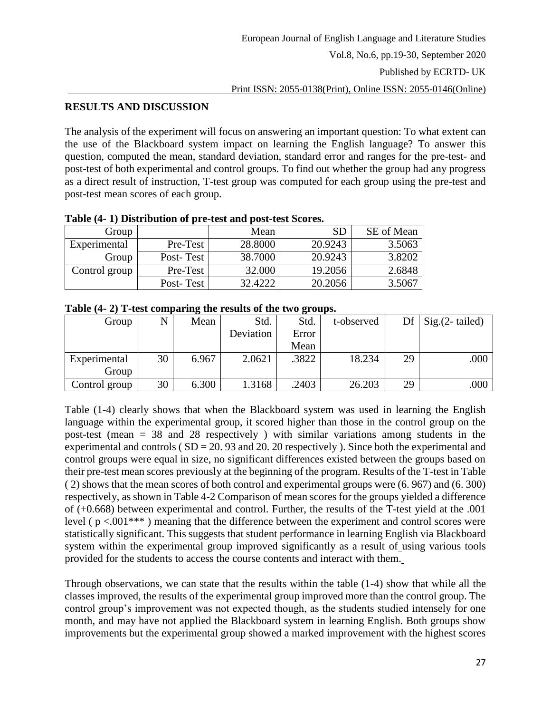# **RESULTS AND DISCUSSION**

The analysis of the experiment will focus on answering an important question: To what extent can the use of the Blackboard system impact on learning the English language? To answer this question, computed the mean, standard deviation, standard error and ranges for the pre-test- and post-test of both experimental and control groups. To find out whether the group had any progress as a direct result of instruction, T-test group was computed for each group using the pre-test and post-test mean scores of each group.

| Group         |           | Mean    | SD      | SE of Mean |  |  |  |  |  |  |  |
|---------------|-----------|---------|---------|------------|--|--|--|--|--|--|--|
| Experimental  | Pre-Test  | 28.8000 | 20.9243 | 3.5063     |  |  |  |  |  |  |  |
| Group         | Post-Test | 38.7000 | 20.9243 | 3.8202     |  |  |  |  |  |  |  |
| Control group | Pre-Test  | 32.000  | 19.2056 | 2.6848     |  |  |  |  |  |  |  |
|               | Post-Test | 32.4222 | 20.2056 | 3.5067     |  |  |  |  |  |  |  |

#### **Table (4- 1) Distribution of pre-test and post-test Scores.**

### **Table (4- 2) T-test comparing the results of the two groups.**

| Group         | N  | Mean  | Std.      | Std.  | t-observed | Df | $Sig.(2-tailed)$ |
|---------------|----|-------|-----------|-------|------------|----|------------------|
|               |    |       | Deviation | Error |            |    |                  |
|               |    |       |           | Mean  |            |    |                  |
| Experimental  | 30 | 6.967 | 2.0621    | .3822 | 18.234     | 29 | .000             |
| Group         |    |       |           |       |            |    |                  |
| Control group | 30 | 6.300 | 1.3168    | .2403 | 26.203     | 29 | .000             |

Table (1-4) clearly shows that when the Blackboard system was used in learning the English language within the experimental group, it scored higher than those in the control group on the post-test (mean = 38 and 28 respectively ) with similar variations among students in the experimental and controls ( $SD = 20$ . 93 and 20. 20 respectively). Since both the experimental and control groups were equal in size, no significant differences existed between the groups based on their pre-test mean scores previously at the beginning of the program. Results of the T-test in Table ( 2) shows that the mean scores of both control and experimental groups were (6. 967) and (6. 300) respectively, as shown in Table 4-2 Comparison of mean scores for the groups yielded a difference of (+0.668) between experimental and control. Further, the results of the T-test yield at the .001 level ( $p < .001***$ ) meaning that the difference between the experiment and control scores were statistically significant. This suggests that student performance in learning English via Blackboard system within the experimental group improved significantly as a result of using various tools provided for the students to access the course contents and interact with them.

Through observations, we can state that the results within the table (1-4) show that while all the classes improved, the results of the experimental group improved more than the control group. The control group's improvement was not expected though, as the students studied intensely for one month, and may have not applied the Blackboard system in learning English. Both groups show improvements but the experimental group showed a marked improvement with the highest scores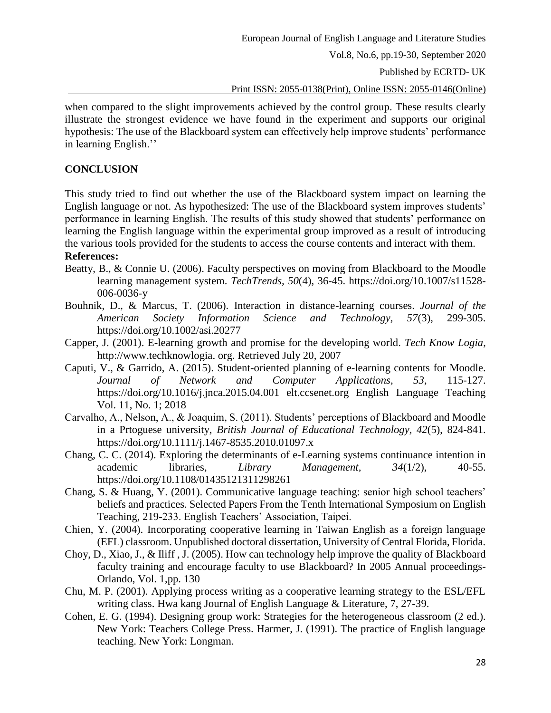Published by ECRTD- UK

Print ISSN: 2055-0138(Print), Online ISSN: 2055-0146(Online)

when compared to the slight improvements achieved by the control group. These results clearly illustrate the strongest evidence we have found in the experiment and supports our original hypothesis: The use of the Blackboard system can effectively help improve students' performance in learning English.''

# **CONCLUSION**

This study tried to find out whether the use of the Blackboard system impact on learning the English language or not. As hypothesized: The use of the Blackboard system improves students' performance in learning English. The results of this study showed that students' performance on learning the English language within the experimental group improved as a result of introducing the various tools provided for the students to access the course contents and interact with them.

# **References:**

- Beatty, B., & Connie U. (2006). Faculty perspectives on moving from Blackboard to the Moodle learning management system. *TechTrends, 50*(4), 36-45. [https://doi.org/10.1007/s11528-](https://doi.org/10.1007/s11528-006-0036-y) [006-0036-y](https://doi.org/10.1007/s11528-006-0036-y)
- Bouhnik, D., & Marcus, T. (2006). Interaction in distance-learning courses. *Journal of the American Society Information Science and Technology, 57*(3), 299-305. <https://doi.org/10.1002/asi.20277>
- Capper, J. (2001). E-learning growth and promise for the developing world. *Tech Know Logia*, http://www.techknowlogia. org. Retrieved July 20, 2007
- Caputi, V., & Garrido, A. (2015). Student-oriented planning of e-learning contents for Moodle. *Journal of Network and Computer Applications, 53*, 115-127. <https://doi.org/10.1016/j.jnca.2015.04.001> elt.ccsenet.org English Language Teaching Vol. 11, No. 1; 2018
- Carvalho, A., Nelson, A., & Joaquim, S. (2011). Students' perceptions of Blackboard and Moodle in a Prtoguese university, *British Journal of Educational Technology, 42*(5), 824-841. <https://doi.org/10.1111/j.1467-8535.2010.01097.x>
- Chang, C. C. (2014). Exploring the determinants of e-Learning systems continuance intention in academic libraries, *Library Management, 34*(1/2), 40-55. <https://doi.org/10.1108/01435121311298261>
- Chang, S. & Huang, Y. (2001). Communicative language teaching: senior high school teachers' beliefs and practices. Selected Papers From the Tenth International Symposium on English Teaching, 219-233. English Teachers' Association, Taipei.
- Chien, Y. (2004). Incorporating cooperative learning in Taiwan English as a foreign language (EFL) classroom. Unpublished doctoral dissertation, University of Central Florida, Florida.
- Choy, D., Xiao, J., & Iliff , J. (2005). How can technology help improve the quality of Blackboard faculty training and encourage faculty to use Blackboard? In 2005 Annual proceedings-Orlando, Vol. 1,pp. 130
- Chu, M. P. (2001). Applying process writing as a cooperative learning strategy to the ESL/EFL writing class. Hwa kang Journal of English Language & Literature, 7, 27-39.
- Cohen, E. G. (1994). Designing group work: Strategies for the heterogeneous classroom (2 ed.). New York: Teachers College Press. Harmer, J. (1991). The practice of English language teaching. New York: Longman.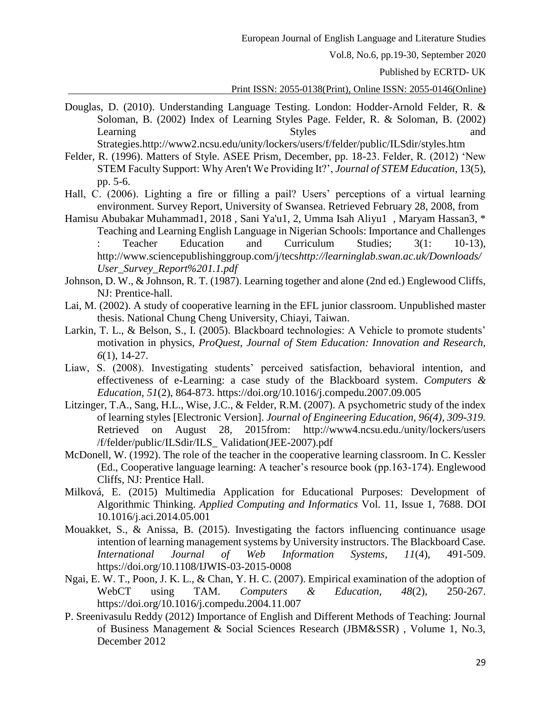Published by ECRTD- UK

#### Print ISSN: 2055-0138(Print), Online ISSN: 2055-0146(Online)

- Douglas, D. (2010). Understanding Language Testing. London: Hodder-Arnold Felder, R. & Soloman, B. (2002) Index of Learning Styles Page. Felder, R. & Soloman, B. (2002) Learning Styles and Styles and Styles and and Styles and and Styles and and Styles and  $\frac{1}{2}$ Strategies.http://www2.ncsu.edu/unity/lockers/users/f/felder/public/ILSdir/styles.htm
- Felder, R. (1996). Matters of Style. ASEE Prism, December, pp. 18-23. Felder, R. (2012) 'New
- STEM Faculty Support: Why Aren't We Providing It?', *Journal of STEM Education*, 13(5), pp. 5-6.
- Hall, C. (2006). Lighting a fire or filling a pail? Users' perceptions of a virtual learning environment. Survey Report, University of Swansea. Retrieved February 28, 2008, from
- Hamisu Abubakar Muhammad1, 2018 , Sani Ya'u1, 2, Umma Isah Aliyu1 , Maryam Hassan3, \* Teaching and Learning English Language in Nigerian Schools: Importance and Challenges : Teacher Education and Curriculum Studies; 3(1: 10-13), <http://www.sciencepublishinggroup.com/j/tecs>*[http://learninglab.swan.ac.uk/Downloads/](http://www.sciencepublishinggroup.com/j/tecs) [User\\_Survey\\_Report%201.1.pdf](http://learninglab.swan.ac.uk/Downloads/User_Survey_Report%201.1.pdf)*
- Johnson, D. W., & Johnson, R. T. (1987). Learning together and alone (2nd ed.) Englewood Cliffs, NJ: Prentice-hall.
- Lai, M. (2002). A study of cooperative learning in the EFL junior classroom. Unpublished master thesis. National Chung Cheng University, Chiayi, Taiwan.
- Larkin, T. L., & Belson, S., I. (2005). Blackboard technologies: A Vehicle to promote students' motivation in physics, *ProQuest, Journal of Stem Education: Innovation and Research, 6*(1), 14-27.
- Liaw, S. (2008). Investigating students' perceived satisfaction, behavioral intention, and effectiveness of e-Learning: a case study of the Blackboard system. *Computers & Education, 51*(2), 864-873.<https://doi.org/10.1016/j.compedu.2007.09.005>
- Litzinger, T.A., Sang, H.L., Wise, J.C., & Felder, R.M. (2007). A psychometric study of the index of learning styles [Electronic Version]. *Journal of Engineering Education, 96(4), 309-319.*  Retrieved on August 28, 2015from: <http://www4.ncsu.edu./unity/lockers/users> /f/felder/public/ILSdir/ILS\_ Validation(JEE-2007).pdf
- McDonell, W. (1992). The role of the teacher in the cooperative learning classroom. In C. Kessler (Ed., Cooperative language learning: A teacher's resource book (pp.163-174). Englewood Cliffs, NJ: Prentice Hall.
- Milková, E. (2015) Multimedia Application for Educational Purposes: Development of Algorithmic Thinking. *Applied Computing and Informatics* Vol. 11, Issue 1, 7688. DOI 10.1016/j.aci.2014.05.001
- Mouakket, S., & Anissa, B. (2015). Investigating the factors influencing continuance usage intention of learning management systems by University instructors. The Blackboard Case*. International Journal of Web Information Systems, 11*(4), 491-509. <https://doi.org/10.1108/IJWIS-03-2015-0008>
- Ngai, E. W. T., Poon, J. K. L., & Chan, Y. H. C. (2007). Empirical examination of the adoption of WebCT using TAM. *Computers & Education, 48*(2), 250-267. <https://doi.org/10.1016/j.compedu.2004.11.007>
- P. Sreenivasulu Reddy (2012) Importance of English and Different Methods of Teaching: Journal of Business Management & Social Sciences Research (JBM&SSR) , Volume 1, No.3, December 2012